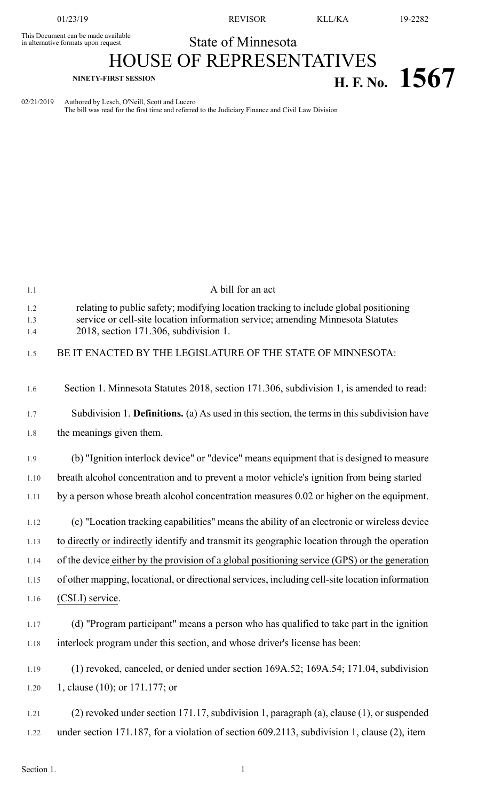This Document can be made available<br>in alternative formats upon request

01/23/19 REVISOR KLL/KA 19-2282

**H. F.** No. **1567** 

## State of Minnesota HOUSE OF REPRESENTATIVES

02/21/2019 Authored by Lesch, O'Neill, Scott and Lucero The bill was read for the first time and referred to the Judiciary Finance and Civil Law Division

| 1.1               | A bill for an act                                                                                                                                                                                               |
|-------------------|-----------------------------------------------------------------------------------------------------------------------------------------------------------------------------------------------------------------|
| 1.2<br>1.3<br>1.4 | relating to public safety; modifying location tracking to include global positioning<br>service or cell-site location information service; amending Minnesota Statutes<br>2018, section 171.306, subdivision 1. |
| 1.5               | BE IT ENACTED BY THE LEGISLATURE OF THE STATE OF MINNESOTA:                                                                                                                                                     |
| 1.6               | Section 1. Minnesota Statutes 2018, section 171.306, subdivision 1, is amended to read:                                                                                                                         |
| 1.7               | Subdivision 1. <b>Definitions.</b> (a) As used in this section, the terms in this subdivision have                                                                                                              |
| 1.8               | the meanings given them.                                                                                                                                                                                        |
| 1.9               | (b) "Ignition interlock device" or "device" means equipment that is designed to measure                                                                                                                         |
| 1.10              | breath alcohol concentration and to prevent a motor vehicle's ignition from being started                                                                                                                       |
| 1.11              | by a person whose breath alcohol concentration measures 0.02 or higher on the equipment.                                                                                                                        |
| 1.12              | (c) "Location tracking capabilities" means the ability of an electronic or wireless device                                                                                                                      |
| 1.13              | to directly or indirectly identify and transmit its geographic location through the operation                                                                                                                   |
| 1.14              | of the device either by the provision of a global positioning service (GPS) or the generation                                                                                                                   |
| 1.15              | of other mapping, locational, or directional services, including cell-site location information                                                                                                                 |
| 1.16              | (CSLI) service.                                                                                                                                                                                                 |
| 1.17              | (d) "Program participant" means a person who has qualified to take part in the ignition                                                                                                                         |
| 1.18              | interlock program under this section, and whose driver's license has been:                                                                                                                                      |
| 1.19              | (1) revoked, canceled, or denied under section 169A.52; 169A.54; 171.04, subdivision                                                                                                                            |
| 1.20              | 1, clause (10); or 171.177; or                                                                                                                                                                                  |
| 1.21              | (2) revoked under section 171.17, subdivision 1, paragraph (a), clause (1), or suspended                                                                                                                        |
| 1.22              | under section 171.187, for a violation of section 609.2113, subdivision 1, clause (2), item                                                                                                                     |